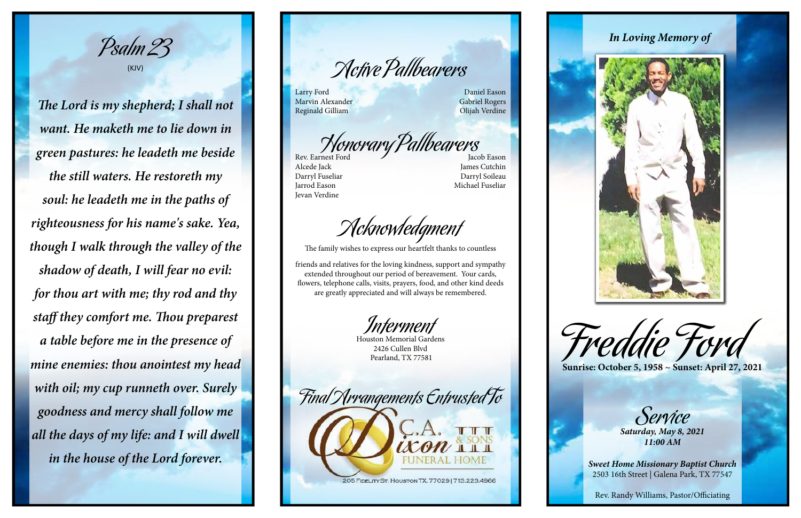



Active Pallbearers

Larry Ford Daniel Eason Marvin Alexander Gabriel Rogers

Reginald Gilliam Olijah Verdine

Honorary Pallbearers

Alcede Jack James Cutchin Darryl Fuseliar Darryl Soileau Jarrod Eason Michael Fuseliar Jevan Verdine

Acknowledgment

The family wishes to express our heartfelt thanks to countless

friends and relatives for the loving kindness, support and sympathy extended throughout our period of bereavement. Your cards, flowers, telephone calls, visits, prayers, food, and other kind deeds are greatly appreciated and will always be remembered.

Interment

Houston Memorial Gardens 2426 Cullen Blvd Pearland, TX 77581







Psalm 23 (KJV)

*The Lord is my shepherd; I shall not want. He maketh me to lie down in green pastures: he leadeth me beside the still waters. He restoreth my soul: he leadeth me in the paths of righteousness for his name's sake. Yea, though I walk through the valley of the shadow of death, I will fear no evil: for thou art with me; thy rod and thy staff they comfort me. Thou preparest a table before me in the presence of mine enemies: thou anointest my head with oil; my cup runneth over. Surely goodness and mercy shall follow me all the days of my life: and I will dwell in the house of the Lord forever.*

Service *Saturday, May 8, 2021*

*11:00 AM*

*Sweet Home Missionary Baptist Church* 2503 16th Street | Galena Park, TX 77547

Rev. Randy Williams, Pastor/Officiating